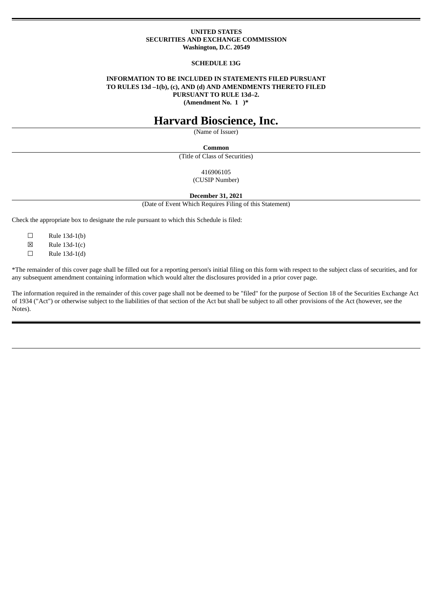## **UNITED STATES SECURITIES AND EXCHANGE COMMISSION Washington, D.C. 20549**

#### **SCHEDULE 13G**

# **INFORMATION TO BE INCLUDED IN STATEMENTS FILED PURSUANT TO RULES 13d –1(b), (c), AND (d) AND AMENDMENTS THERETO FILED PURSUANT TO RULE 13d–2.**

**(Amendment No. 1 )\***

# **Harvard Bioscience, Inc.**

(Name of Issuer)

#### **Common**

(Title of Class of Securities)

416906105 (CUSIP Number)

**December 31, 2021**

(Date of Event Which Requires Filing of this Statement)

Check the appropriate box to designate the rule pursuant to which this Schedule is filed:

 $\square$  Rule 13d-1(b)

 $\boxtimes$  Rule 13d-1(c)

 $\Box$  Rule 13d-1(d)

\*The remainder of this cover page shall be filled out for a reporting person's initial filing on this form with respect to the subject class of securities, and for any subsequent amendment containing information which would alter the disclosures provided in a prior cover page.

The information required in the remainder of this cover page shall not be deemed to be "filed" for the purpose of Section 18 of the Securities Exchange Act of 1934 ("Act") or otherwise subject to the liabilities of that section of the Act but shall be subject to all other provisions of the Act (however, see the Notes).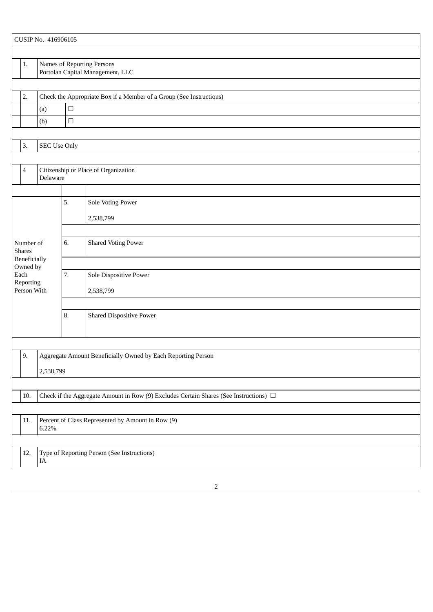|                                                                   |                                              | CUSIP No. 416906105                                                 |        |                                                                                            |  |  |  |  |
|-------------------------------------------------------------------|----------------------------------------------|---------------------------------------------------------------------|--------|--------------------------------------------------------------------------------------------|--|--|--|--|
|                                                                   |                                              |                                                                     |        |                                                                                            |  |  |  |  |
|                                                                   | $1.$                                         |                                                                     |        | Names of Reporting Persons<br>Portolan Capital Management, LLC                             |  |  |  |  |
|                                                                   |                                              |                                                                     |        |                                                                                            |  |  |  |  |
|                                                                   | 2.                                           | Check the Appropriate Box if a Member of a Group (See Instructions) |        |                                                                                            |  |  |  |  |
| $\Box$<br>(a)                                                     |                                              |                                                                     |        |                                                                                            |  |  |  |  |
|                                                                   |                                              | (b)                                                                 | $\Box$ |                                                                                            |  |  |  |  |
|                                                                   |                                              |                                                                     |        |                                                                                            |  |  |  |  |
|                                                                   | 3.                                           | <b>SEC Use Only</b>                                                 |        |                                                                                            |  |  |  |  |
|                                                                   |                                              |                                                                     |        |                                                                                            |  |  |  |  |
|                                                                   | $\overline{4}$                               | Citizenship or Place of Organization<br>Delaware                    |        |                                                                                            |  |  |  |  |
|                                                                   |                                              |                                                                     |        |                                                                                            |  |  |  |  |
|                                                                   |                                              |                                                                     | 5.     | Sole Voting Power                                                                          |  |  |  |  |
|                                                                   |                                              |                                                                     |        | 2,538,799                                                                                  |  |  |  |  |
|                                                                   |                                              |                                                                     |        |                                                                                            |  |  |  |  |
|                                                                   | Number of<br><b>Shares</b>                   |                                                                     | 6.     | <b>Shared Voting Power</b>                                                                 |  |  |  |  |
|                                                                   | Beneficially                                 |                                                                     |        |                                                                                            |  |  |  |  |
|                                                                   | Owned by<br>Each<br>Reporting<br>Person With |                                                                     | 7.     | Sole Dispositive Power                                                                     |  |  |  |  |
|                                                                   |                                              |                                                                     |        | 2,538,799                                                                                  |  |  |  |  |
|                                                                   |                                              |                                                                     |        |                                                                                            |  |  |  |  |
|                                                                   |                                              |                                                                     | 8.     | <b>Shared Dispositive Power</b>                                                            |  |  |  |  |
|                                                                   |                                              |                                                                     |        |                                                                                            |  |  |  |  |
|                                                                   |                                              |                                                                     |        |                                                                                            |  |  |  |  |
|                                                                   | 9.                                           |                                                                     |        | Aggregate Amount Beneficially Owned by Each Reporting Person                               |  |  |  |  |
|                                                                   |                                              | 2,538,799                                                           |        |                                                                                            |  |  |  |  |
|                                                                   |                                              |                                                                     |        |                                                                                            |  |  |  |  |
|                                                                   | 10.                                          |                                                                     |        | Check if the Aggregate Amount in Row (9) Excludes Certain Shares (See Instructions) $\Box$ |  |  |  |  |
|                                                                   |                                              |                                                                     |        |                                                                                            |  |  |  |  |
| Percent of Class Represented by Amount in Row (9)<br>11.<br>6.22% |                                              |                                                                     |        |                                                                                            |  |  |  |  |
|                                                                   |                                              |                                                                     |        |                                                                                            |  |  |  |  |
|                                                                   | 12.                                          | IA                                                                  |        | Type of Reporting Person (See Instructions)                                                |  |  |  |  |
|                                                                   |                                              |                                                                     |        |                                                                                            |  |  |  |  |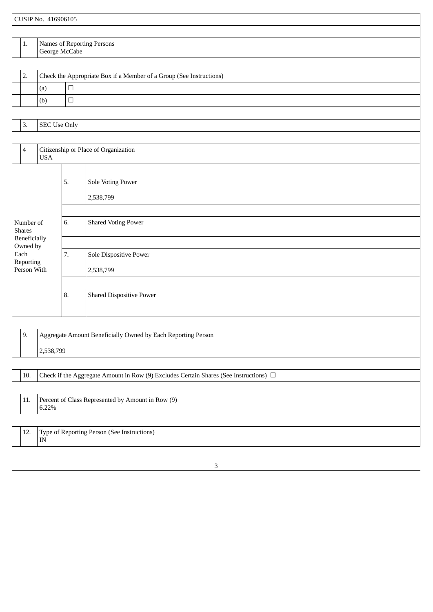|                |                                                                           | CUSIP No. 416906105 |                                                                                            |                                                              |  |  |  |  |
|----------------|---------------------------------------------------------------------------|---------------------|--------------------------------------------------------------------------------------------|--------------------------------------------------------------|--|--|--|--|
|                |                                                                           |                     |                                                                                            |                                                              |  |  |  |  |
|                | 1.                                                                        | George McCabe       |                                                                                            | Names of Reporting Persons                                   |  |  |  |  |
|                |                                                                           |                     |                                                                                            |                                                              |  |  |  |  |
|                | 2.<br>Check the Appropriate Box if a Member of a Group (See Instructions) |                     |                                                                                            |                                                              |  |  |  |  |
|                |                                                                           | $\Box$<br>(a)       |                                                                                            |                                                              |  |  |  |  |
|                |                                                                           | (b)                 | $\Box$                                                                                     |                                                              |  |  |  |  |
|                |                                                                           |                     |                                                                                            |                                                              |  |  |  |  |
|                | 3.<br>SEC Use Only                                                        |                     |                                                                                            |                                                              |  |  |  |  |
|                |                                                                           |                     |                                                                                            |                                                              |  |  |  |  |
|                | $\overline{\mathcal{A}}$                                                  | <b>USA</b>          |                                                                                            | Citizenship or Place of Organization                         |  |  |  |  |
|                |                                                                           |                     |                                                                                            |                                                              |  |  |  |  |
|                |                                                                           |                     | 5.                                                                                         | Sole Voting Power                                            |  |  |  |  |
|                |                                                                           |                     |                                                                                            | 2,538,799                                                    |  |  |  |  |
|                |                                                                           |                     |                                                                                            |                                                              |  |  |  |  |
|                |                                                                           |                     | 6.                                                                                         | <b>Shared Voting Power</b>                                   |  |  |  |  |
|                | Number of<br><b>Shares</b>                                                |                     |                                                                                            |                                                              |  |  |  |  |
|                | Beneficially                                                              |                     |                                                                                            |                                                              |  |  |  |  |
|                | Owned by<br>Each<br>Reporting<br>Person With                              |                     | 7.                                                                                         | Sole Dispositive Power                                       |  |  |  |  |
|                |                                                                           |                     |                                                                                            | 2,538,799                                                    |  |  |  |  |
|                |                                                                           |                     |                                                                                            |                                                              |  |  |  |  |
|                |                                                                           |                     | 8.                                                                                         | <b>Shared Dispositive Power</b>                              |  |  |  |  |
|                |                                                                           |                     |                                                                                            |                                                              |  |  |  |  |
|                |                                                                           |                     |                                                                                            |                                                              |  |  |  |  |
|                |                                                                           |                     |                                                                                            |                                                              |  |  |  |  |
|                | 9.                                                                        |                     |                                                                                            | Aggregate Amount Beneficially Owned by Each Reporting Person |  |  |  |  |
|                |                                                                           | 2,538,799           |                                                                                            |                                                              |  |  |  |  |
|                |                                                                           |                     |                                                                                            |                                                              |  |  |  |  |
|                | 10.                                                                       |                     | Check if the Aggregate Amount in Row (9) Excludes Certain Shares (See Instructions) $\Box$ |                                                              |  |  |  |  |
|                |                                                                           |                     |                                                                                            |                                                              |  |  |  |  |
| $11.$<br>6.22% |                                                                           |                     |                                                                                            | Percent of Class Represented by Amount in Row (9)            |  |  |  |  |
|                |                                                                           |                     |                                                                                            |                                                              |  |  |  |  |
|                | 12.                                                                       | IN                  |                                                                                            | Type of Reporting Person (See Instructions)                  |  |  |  |  |
|                |                                                                           |                     |                                                                                            |                                                              |  |  |  |  |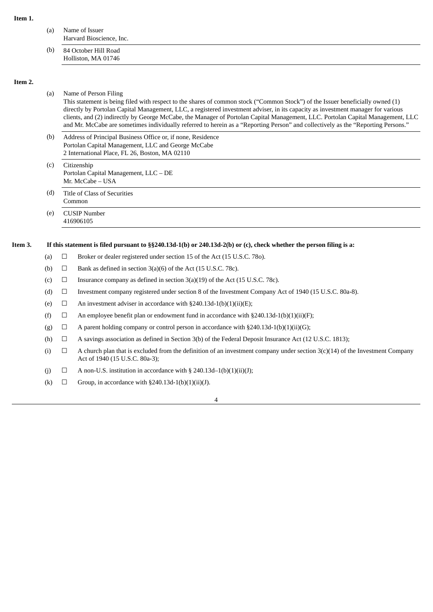| (a) | Name of Issuer<br>Harvard Bioscience, Inc.  |
|-----|---------------------------------------------|
| (b) | 84 October Hill Road<br>Holliston, MA 01746 |

#### **Item 2.**

#### (a) Name of Person Filing

This statement is being filed with respect to the shares of common stock ("Common Stock") of the Issuer beneficially owned (1) directly by Portolan Capital Management, LLC, a registered investment adviser, in its capacity as investment manager for various clients, and (2) indirectly by George McCabe, the Manager of Portolan Capital Management, LLC. Portolan Capital Management, LLC and Mr. McCabe are sometimes individually referred to herein as a "Reporting Person" and collectively as the "Reporting Persons."

- (b) Address of Principal Business Office or, if none, Residence Portolan Capital Management, LLC and George McCabe 2 International Place, FL 26, Boston, MA 02110
- (c) Citizenship Portolan Capital Management, LLC – DE Mr. McCabe – USA
- (d) Title of Class of Securities Common
- (e) CUSIP Number 416906105

#### Item 3. If this statement is filed pursuant to §§240.13d-1(b) or 240.13d-2(b) or (c), check whether the person filing is a:

- (a)  $\Box$  Broker or dealer registered under section 15 of the Act (15 U.S.C. 780).
- (b)  $\Box$  Bank as defined in section 3(a)(6) of the Act (15 U.S.C. 78c).
- (c)  $\Box$  Insurance company as defined in section 3(a)(19) of the Act (15 U.S.C. 78c).
- (d) ☐ Investment company registered under section 8 of the Investment Company Act of 1940 (15 U.S.C. 80a-8).
- (e)  $\Box$  An investment adviser in accordance with §240.13d-1(b)(1)(ii)(E);
- (f)  $\Box$  An employee benefit plan or endowment fund in accordance with §240.13d-1(b)(1)(ii)(F);
- (g)  $\Box$  A parent holding company or control person in accordance with §240.13d-1(b)(1)(ii)(G);
- (h)  $\Box$  A savings association as defined in Section 3(b) of the Federal Deposit Insurance Act (12 U.S.C. 1813);
- (i)  $\Box$  A church plan that is excluded from the definition of an investment company under section 3(c)(14) of the Investment Company Act of 1940 (15 U.S.C. 80a-3);
- (j)  $\Box$  A non-U.S. institution in accordance with § 240.13d-1(b)(1)(ii)(J);
- (k)  $\Box$  Group, in accordance with §240.13d-1(b)(1)(ii)(J).

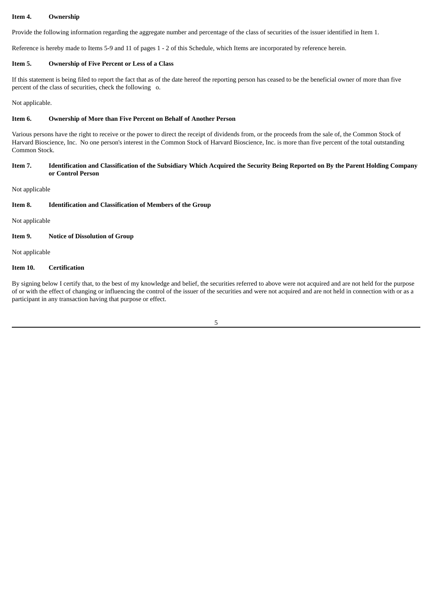# **Item 4. Ownership**

Provide the following information regarding the aggregate number and percentage of the class of securities of the issuer identified in Item 1.

Reference is hereby made to Items 5-9 and 11 of pages 1 - 2 of this Schedule, which Items are incorporated by reference herein.

# **Item 5. Ownership of Five Percent or Less of a Class**

If this statement is being filed to report the fact that as of the date hereof the reporting person has ceased to be the beneficial owner of more than five percent of the class of securities, check the following o.

Not applicable.

## **Item 6. Ownership of More than Five Percent on Behalf of Another Person**

Various persons have the right to receive or the power to direct the receipt of dividends from, or the proceeds from the sale of, the Common Stock of Harvard Bioscience, Inc. No one person's interest in the Common Stock of Harvard Bioscience, Inc. is more than five percent of the total outstanding Common Stock.

## Item 7. Identification and Classification of the Subsidiary Which Acquired the Security Being Reported on By the Parent Holding Company **or Control Person**

Not applicable

#### **Item 8. Identification and Classification of Members of the Group**

Not applicable

# **Item 9. Notice of Dissolution of Group**

Not applicable

# **Item 10. Certification**

By signing below I certify that, to the best of my knowledge and belief, the securities referred to above were not acquired and are not held for the purpose of or with the effect of changing or influencing the control of the issuer of the securities and were not acquired and are not held in connection with or as a participant in any transaction having that purpose or effect.